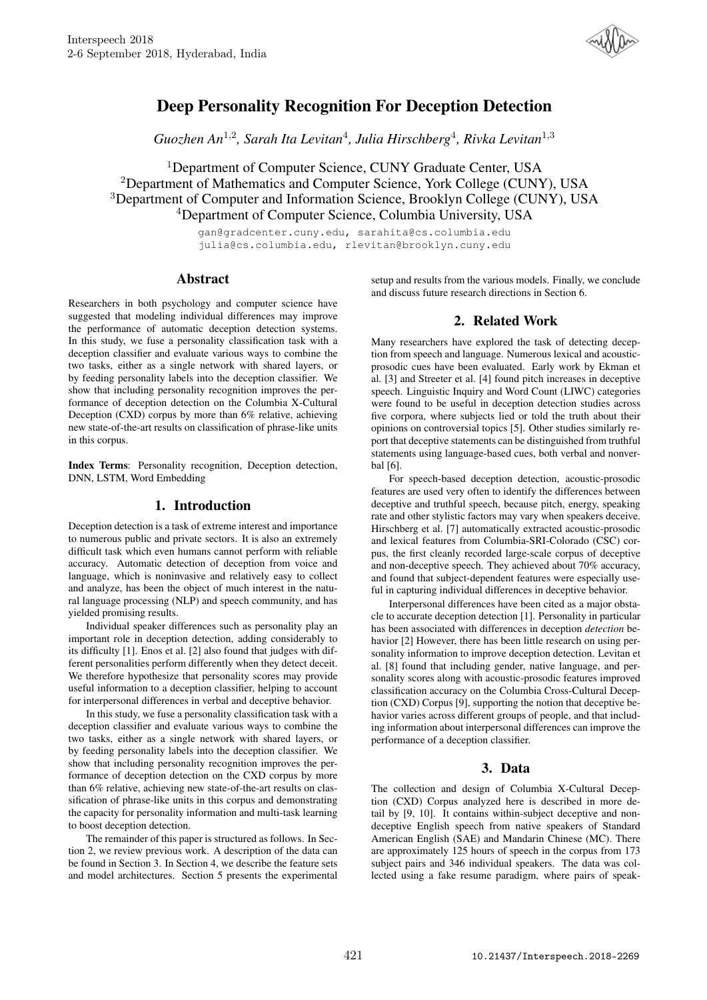

# Deep Personality Recognition For Deception Detection

Guozhen An<sup>1,2</sup>, Sarah Ita Levitan<sup>4</sup>, Julia Hirschberg<sup>4</sup>, Rivka Levitan<sup>1,3</sup>

<sup>1</sup>Department of Computer Science, CUNY Graduate Center, USA Department of Mathematics and Computer Science, York College (CUNY), USA Department of Computer and Information Science, Brooklyn College (CUNY), USA Department of Computer Science, Columbia University, USA

> gan@gradcenter.cuny.edu, sarahita@cs.columbia.edu julia@cs.columbia.edu, rlevitan@brooklyn.cuny.edu

## Abstract

Researchers in both psychology and computer science have suggested that modeling individual differences may improve the performance of automatic deception detection systems. In this study, we fuse a personality classification task with a deception classifier and evaluate various ways to combine the two tasks, either as a single network with shared layers, or by feeding personality labels into the deception classifier. We show that including personality recognition improves the performance of deception detection on the Columbia X-Cultural Deception (CXD) corpus by more than 6% relative, achieving new state-of-the-art results on classification of phrase-like units in this corpus.

Index Terms: Personality recognition, Deception detection, DNN, LSTM, Word Embedding

## 1. Introduction

Deception detection is a task of extreme interest and importance to numerous public and private sectors. It is also an extremely difficult task which even humans cannot perform with reliable accuracy. Automatic detection of deception from voice and language, which is noninvasive and relatively easy to collect and analyze, has been the object of much interest in the natural language processing (NLP) and speech community, and has yielded promising results.

Individual speaker differences such as personality play an important role in deception detection, adding considerably to its difficulty [1]. Enos et al. [2] also found that judges with different personalities perform differently when they detect deceit. We therefore hypothesize that personality scores may provide useful information to a deception classifier, helping to account for interpersonal differences in verbal and deceptive behavior.

In this study, we fuse a personality classification task with a deception classifier and evaluate various ways to combine the two tasks, either as a single network with shared layers, or by feeding personality labels into the deception classifier. We show that including personality recognition improves the performance of deception detection on the CXD corpus by more than 6% relative, achieving new state-of-the-art results on classification of phrase-like units in this corpus and demonstrating the capacity for personality information and multi-task learning to boost deception detection.

The remainder of this paper is structured as follows. In Section 2, we review previous work. A description of the data can be found in Section 3. In Section 4, we describe the feature sets and model architectures. Section 5 presents the experimental

setup and results from the various models. Finally, we conclude and discuss future research directions in Section 6.

## 2. Related Work

Many researchers have explored the task of detecting deception from speech and language. Numerous lexical and acousticprosodic cues have been evaluated. Early work by Ekman et al. [3] and Streeter et al. [4] found pitch increases in deceptive speech. Linguistic Inquiry and Word Count (LIWC) categories were found to be useful in deception detection studies across five corpora, where subjects lied or told the truth about their opinions on controversial topics [5]. Other studies similarly report that deceptive statements can be distinguished from truthful statements using language-based cues, both verbal and nonverbal [6].

For speech-based deception detection, acoustic-prosodic features are used very often to identify the differences between deceptive and truthful speech, because pitch, energy, speaking rate and other stylistic factors may vary when speakers deceive. Hirschberg et al. [7] automatically extracted acoustic-prosodic and lexical features from Columbia-SRI-Colorado (CSC) corpus, the first cleanly recorded large-scale corpus of deceptive and non-deceptive speech. They achieved about 70% accuracy, and found that subject-dependent features were especially useful in capturing individual differences in deceptive behavior.

Interpersonal differences have been cited as a major obstacle to accurate deception detection [1]. Personality in particular has been associated with differences in deception *detection* behavior [2] However, there has been little research on using personality information to improve deception detection. Levitan et al. [8] found that including gender, native language, and personality scores along with acoustic-prosodic features improved classification accuracy on the Columbia Cross-Cultural Deception (CXD) Corpus [9], supporting the notion that deceptive behavior varies across different groups of people, and that including information about interpersonal differences can improve the performance of a deception classifier.

## 3. Data

The collection and design of Columbia X-Cultural Deception (CXD) Corpus analyzed here is described in more detail by [9, 10]. It contains within-subject deceptive and nondeceptive English speech from native speakers of Standard American English (SAE) and Mandarin Chinese (MC). There are approximately 125 hours of speech in the corpus from 173 subject pairs and 346 individual speakers. The data was collected using a fake resume paradigm, where pairs of speak-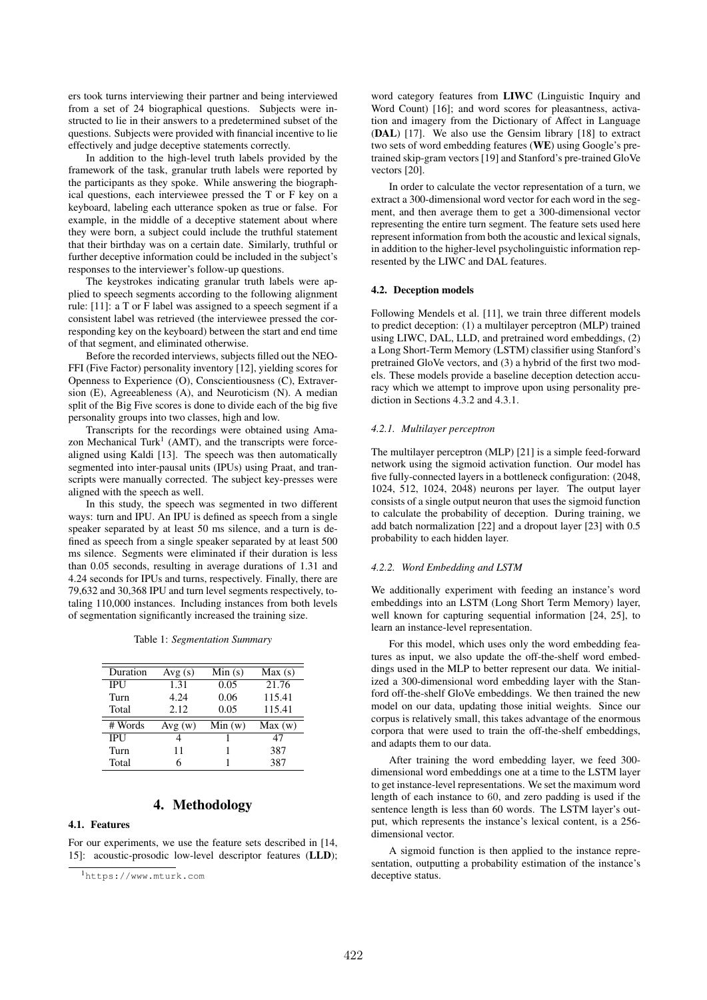ers took turns interviewing their partner and being interviewed from a set of 24 biographical questions. Subjects were instructed to lie in their answers to a predetermined subset of the questions. Subjects were provided with financial incentive to lie effectively and judge deceptive statements correctly.

In addition to the high-level truth labels provided by the framework of the task, granular truth labels were reported by the participants as they spoke. While answering the biographical questions, each interviewee pressed the T or F key on a keyboard, labeling each utterance spoken as true or false. For example, in the middle of a deceptive statement about where they were born, a subject could include the truthful statement that their birthday was on a certain date. Similarly, truthful or further deceptive information could be included in the subject's responses to the interviewer's follow-up questions.

The keystrokes indicating granular truth labels were applied to speech segments according to the following alignment rule: [11]: a T or F label was assigned to a speech segment if a consistent label was retrieved (the interviewee pressed the corresponding key on the keyboard) between the start and end time of that segment, and eliminated otherwise.

Before the recorded interviews, subjects filled out the NEO-FFI (Five Factor) personality inventory [12], yielding scores for Openness to Experience (O), Conscientiousness (C), Extraversion (E), Agreeableness (A), and Neuroticism (N). A median split of the Big Five scores is done to divide each of the big five personality groups into two classes, high and low.

Transcripts for the recordings were obtained using Amazon Mechanical Turk<sup>1</sup> (AMT), and the transcripts were forcealigned using Kaldi [13]. The speech was then automatically segmented into inter-pausal units (IPUs) using Praat, and transcripts were manually corrected. The subject key-presses were aligned with the speech as well.

In this study, the speech was segmented in two different ways: turn and IPU. An IPU is defined as speech from a single speaker separated by at least 50 ms silence, and a turn is defined as speech from a single speaker separated by at least 500 ms silence. Segments were eliminated if their duration is less than 0.05 seconds, resulting in average durations of 1.31 and 4.24 seconds for IPUs and turns, respectively. Finally, there are 79,632 and 30,368 IPU and turn level segments respectively, totaling 110,000 instances. Including instances from both levels of segmentation significantly increased the training size.

|  |  | Table 1: Segmentation Summary |  |
|--|--|-------------------------------|--|
|--|--|-------------------------------|--|

| Duration   | Avg(s) | Min(s) | Max(s) |
|------------|--------|--------|--------|
| <b>IPU</b> | 1.31   | 0.05   | 21.76  |
| Turn       | 4.24   | 0.06   | 115.41 |
| Total      | 2.12   | 0.05   | 115.41 |
|            |        |        |        |
| # Words    | Avg(w) | Min(w) | Max(w) |
| <b>IPU</b> | 4      | 1      | 47     |
| Turn       | 11     | 1      | 387    |

## 4. Methodology

## 4.1. Features

For our experiments, we use the feature sets described in [14, 15]: acoustic-prosodic low-level descriptor features (LLD);

word category features from LIWC (Linguistic Inquiry and Word Count) [16]; and word scores for pleasantness, activation and imagery from the Dictionary of Affect in Language (DAL) [17]. We also use the Gensim library [18] to extract two sets of word embedding features (WE) using Google's pretrained skip-gram vectors [19] and Stanford's pre-trained GloVe vectors [20].

In order to calculate the vector representation of a turn, we extract a 300-dimensional word vector for each word in the segment, and then average them to get a 300-dimensional vector representing the entire turn segment. The feature sets used here represent information from both the acoustic and lexical signals, in addition to the higher-level psycholinguistic information represented by the LIWC and DAL features.

### 4.2. Deception models

Following Mendels et al. [11], we train three different models to predict deception: (1) a multilayer perceptron (MLP) trained using LIWC, DAL, LLD, and pretrained word embeddings, (2) a Long Short-Term Memory (LSTM) classifier using Stanford's pretrained GloVe vectors, and (3) a hybrid of the first two models. These models provide a baseline deception detection accuracy which we attempt to improve upon using personality prediction in Sections 4.3.2 and 4.3.1.

#### *4.2.1. Multilayer perceptron*

The multilayer perceptron (MLP) [21] is a simple feed-forward network using the sigmoid activation function. Our model has five fully-connected layers in a bottleneck configuration: (2048, 1024, 512, 1024, 2048) neurons per layer. The output layer consists of a single output neuron that uses the sigmoid function to calculate the probability of deception. During training, we add batch normalization [22] and a dropout layer [23] with 0.5 probability to each hidden layer.

### *4.2.2. Word Embedding and LSTM*

We additionally experiment with feeding an instance's word embeddings into an LSTM (Long Short Term Memory) layer, well known for capturing sequential information [24, 25], to learn an instance-level representation.

For this model, which uses only the word embedding features as input, we also update the off-the-shelf word embeddings used in the MLP to better represent our data. We initialized a 300-dimensional word embedding layer with the Stanford off-the-shelf GloVe embeddings. We then trained the new model on our data, updating those initial weights. Since our corpus is relatively small, this takes advantage of the enormous corpora that were used to train the off-the-shelf embeddings, and adapts them to our data.

After training the word embedding layer, we feed 300 dimensional word embeddings one at a time to the LSTM layer to get instance-level representations. We set the maximum word length of each instance to 60, and zero padding is used if the sentence length is less than 60 words. The LSTM layer's output, which represents the instance's lexical content, is a 256 dimensional vector.

A sigmoid function is then applied to the instance representation, outputting a probability estimation of the instance's deceptive status.

<sup>1</sup>https://www.mturk.com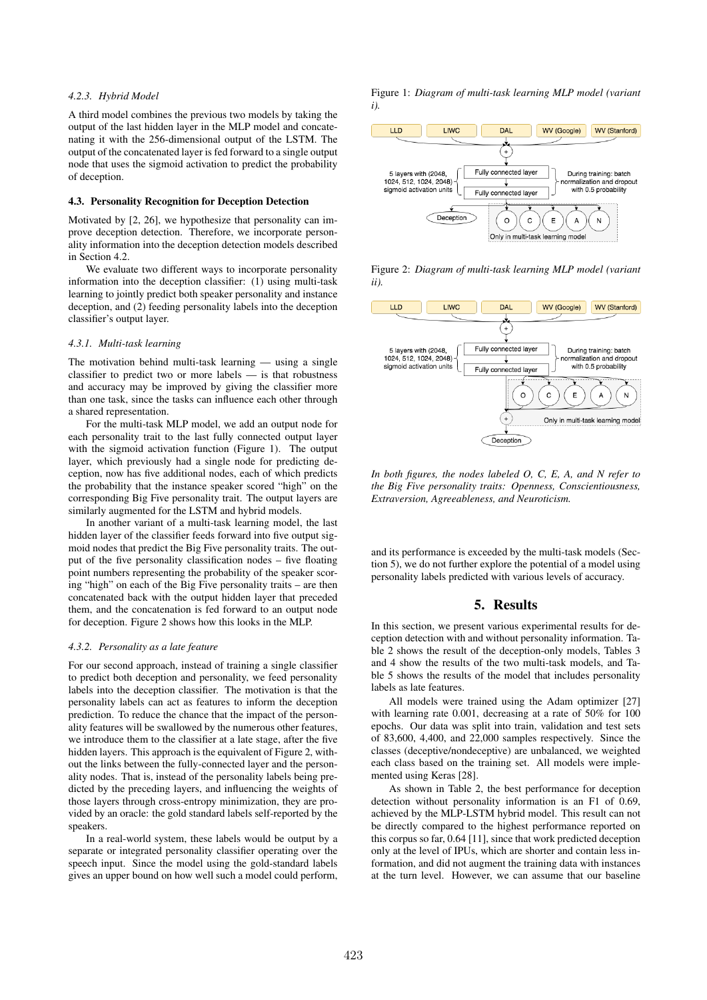## *4.2.3. Hybrid Model*

A third model combines the previous two models by taking the output of the last hidden layer in the MLP model and concatenating it with the 256-dimensional output of the LSTM. The output of the concatenated layer is fed forward to a single output node that uses the sigmoid activation to predict the probability of deception.

#### 4.3. Personality Recognition for Deception Detection

Motivated by [2, 26], we hypothesize that personality can improve deception detection. Therefore, we incorporate personality information into the deception detection models described in Section 4.2.

We evaluate two different ways to incorporate personality information into the deception classifier: (1) using multi-task learning to jointly predict both speaker personality and instance deception, and (2) feeding personality labels into the deception classifier's output layer.

### *4.3.1. Multi-task learning*

The motivation behind multi-task learning — using a single classifier to predict two or more labels — is that robustness and accuracy may be improved by giving the classifier more than one task, since the tasks can influence each other through a shared representation.

For the multi-task MLP model, we add an output node for each personality trait to the last fully connected output layer with the sigmoid activation function (Figure 1). The output layer, which previously had a single node for predicting deception, now has five additional nodes, each of which predicts the probability that the instance speaker scored "high" on the corresponding Big Five personality trait. The output layers are similarly augmented for the LSTM and hybrid models.

In another variant of a multi-task learning model, the last hidden layer of the classifier feeds forward into five output sigmoid nodes that predict the Big Five personality traits. The output of the five personality classification nodes – five floating point numbers representing the probability of the speaker scoring "high" on each of the Big Five personality traits – are then concatenated back with the output hidden layer that preceded them, and the concatenation is fed forward to an output node for deception. Figure 2 shows how this looks in the MLP.

#### *4.3.2. Personality as a late feature*

For our second approach, instead of training a single classifier to predict both deception and personality, we feed personality labels into the deception classifier. The motivation is that the personality labels can act as features to inform the deception prediction. To reduce the chance that the impact of the personality features will be swallowed by the numerous other features, we introduce them to the classifier at a late stage, after the five hidden layers. This approach is the equivalent of Figure 2, without the links between the fully-connected layer and the personality nodes. That is, instead of the personality labels being predicted by the preceding layers, and influencing the weights of those layers through cross-entropy minimization, they are provided by an oracle: the gold standard labels self-reported by the speakers.

In a real-world system, these labels would be output by a separate or integrated personality classifier operating over the speech input. Since the model using the gold-standard labels gives an upper bound on how well such a model could perform, Figure 1: *Diagram of multi-task learning MLP model (variant i).*



Figure 2: *Diagram of multi-task learning MLP model (variant ii).*



*In both figures, the nodes labeled O, C, E, A, and N refer to the Big Five personality traits: Openness, Conscientiousness, Extraversion, Agreeableness, and Neuroticism.*

and its performance is exceeded by the multi-task models (Section 5), we do not further explore the potential of a model using personality labels predicted with various levels of accuracy.

## 5. Results

In this section, we present various experimental results for deception detection with and without personality information. Table 2 shows the result of the deception-only models, Tables 3 and 4 show the results of the two multi-task models, and Table 5 shows the results of the model that includes personality labels as late features.

All models were trained using the Adam optimizer [27] with learning rate 0.001, decreasing at a rate of 50% for 100 epochs. Our data was split into train, validation and test sets of 83,600, 4,400, and 22,000 samples respectively. Since the classes (deceptive/nondeceptive) are unbalanced, we weighted each class based on the training set. All models were implemented using Keras [28].

As shown in Table 2, the best performance for deception detection without personality information is an F1 of 0.69, achieved by the MLP-LSTM hybrid model. This result can not be directly compared to the highest performance reported on this corpus so far, 0.64 [11], since that work predicted deception only at the level of IPUs, which are shorter and contain less information, and did not augment the training data with instances at the turn level. However, we can assume that our baseline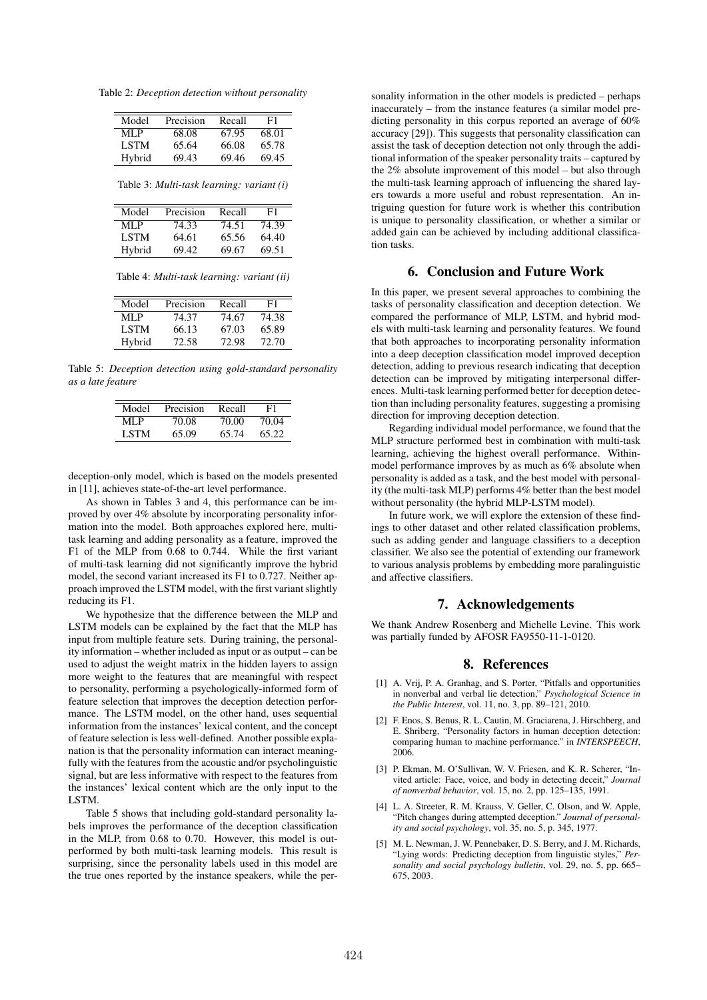Table 2: *Deception detection without personality*

| Model  | Precision | Recall | F1    |
|--------|-----------|--------|-------|
|        |           |        |       |
| MI P   | 68.08     | 67.95  | 68.01 |
| LSTM   | 65.64     | 66.08  | 65.78 |
| Hybrid | 69.43     | 69.46  | 69.45 |

Table 3: *Multi-task learning: variant (i)*

| Model       | Precision | Recall | F1    |
|-------------|-----------|--------|-------|
| MI P        | 74.33     | 74.51  | 74.39 |
| <b>LSTM</b> | 64.61     | 65.56  | 64.40 |
| Hybrid      | 69.42     | 69.67  | 69.51 |

Table 4: *Multi-task learning: variant (ii)*

| Model  | Precision | Recall | F1    |
|--------|-----------|--------|-------|
| MLP    | 74.37     | 74.67  | 74.38 |
| LSTM   | 66.13     | 67.03  | 65.89 |
| Hybrid | 72.58     | 72.98  | 72.70 |

Table 5: *Deception detection using gold-standard personality as a late feature*

| Model | Precision | Recall | F1    |
|-------|-----------|--------|-------|
| ML P  | 70.08     | 70.00  | 70.04 |
| LSTM  | 65.09     | 65.74  | 65.22 |

deception-only model, which is based on the models presented in [11], achieves state-of-the-art level performance.

As shown in Tables 3 and 4, this performance can be improved by over 4% absolute by incorporating personality information into the model. Both approaches explored here, multitask learning and adding personality as a feature, improved the F1 of the MLP from 0.68 to 0.744. While the first variant of multi-task learning did not significantly improve the hybrid model, the second variant increased its F1 to 0.727. Neither approach improved the LSTM model, with the first variant slightly reducing its F1.

We hypothesize that the difference between the MLP and LSTM models can be explained by the fact that the MLP has input from multiple feature sets. During training, the personality information – whether included as input or as output – can be used to adjust the weight matrix in the hidden layers to assign more weight to the features that are meaningful with respect to personality, performing a psychologically-informed form of feature selection that improves the deception detection performance. The LSTM model, on the other hand, uses sequential information from the instances' lexical content, and the concept of feature selection is less well-defined. Another possible explanation is that the personality information can interact meaningfully with the features from the acoustic and/or psycholinguistic signal, but are less informative with respect to the features from the instances' lexical content which are the only input to the LSTM.

Table 5 shows that including gold-standard personality labels improves the performance of the deception classification in the MLP, from 0.68 to 0.70. However, this model is outperformed by both multi-task learning models. This result is surprising, since the personality labels used in this model are the true ones reported by the instance speakers, while the personality information in the other models is predicted – perhaps inaccurately – from the instance features (a similar model predicting personality in this corpus reported an average of 60% accuracy [29]). This suggests that personality classification can assist the task of deception detection not only through the additional information of the speaker personality traits – captured by the 2% absolute improvement of this model – but also through the multi-task learning approach of influencing the shared layers towards a more useful and robust representation. An intriguing question for future work is whether this contribution is unique to personality classification, or whether a similar or added gain can be achieved by including additional classification tasks.

## 6. Conclusion and Future Work

In this paper, we present several approaches to combining the tasks of personality classification and deception detection. We compared the performance of MLP, LSTM, and hybrid models with multi-task learning and personality features. We found that both approaches to incorporating personality information into a deep deception classification model improved deception detection, adding to previous research indicating that deception detection can be improved by mitigating interpersonal differences. Multi-task learning performed better for deception detection than including personality features, suggesting a promising direction for improving deception detection.

Regarding individual model performance, we found that the MLP structure performed best in combination with multi-task learning, achieving the highest overall performance. Withinmodel performance improves by as much as 6% absolute when personality is added as a task, and the best model with personality (the multi-task MLP) performs 4% better than the best model without personality (the hybrid MLP-LSTM model).

In future work, we will explore the extension of these findings to other dataset and other related classification problems, such as adding gender and language classifiers to a deception classifier. We also see the potential of extending our framework to various analysis problems by embedding more paralinguistic and affective classifiers.

## 7. Acknowledgements

We thank Andrew Rosenberg and Michelle Levine. This work was partially funded by AFOSR FA9550-11-1-0120.

## 8. References

- [1] A. Vrij, P. A. Granhag, and S. Porter, "Pitfalls and opportunities in nonverbal and verbal lie detection," *Psychological Science in the Public Interest*, vol. 11, no. 3, pp. 89–121, 2010.
- [2] F. Enos, S. Benus, R. L. Cautin, M. Graciarena, J. Hirschberg, and E. Shriberg, "Personality factors in human deception detection: comparing human to machine performance." in *INTERSPEECH*, 2006.
- [3] P. Ekman, M. O'Sullivan, W. V. Friesen, and K. R. Scherer, "Invited article: Face, voice, and body in detecting deceit," *Journal of nonverbal behavior*, vol. 15, no. 2, pp. 125–135, 1991.
- [4] L. A. Streeter, R. M. Krauss, V. Geller, C. Olson, and W. Apple, "Pitch changes during attempted deception." *Journal of personality and social psychology*, vol. 35, no. 5, p. 345, 1977.
- [5] M. L. Newman, J. W. Pennebaker, D. S. Berry, and J. M. Richards, "Lying words: Predicting deception from linguistic styles," *Personality and social psychology bulletin*, vol. 29, no. 5, pp. 665– 675, 2003.